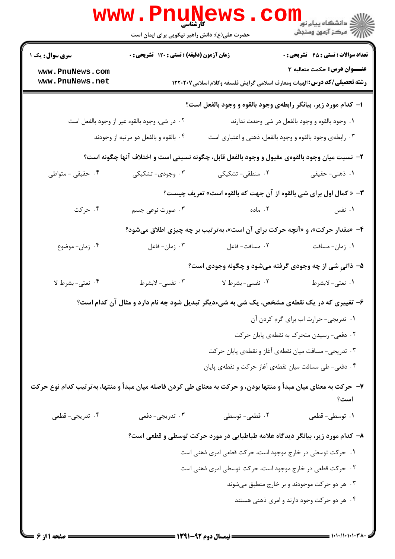|                                                                                                                 | <b>www.PnuNews</b><br>کارشناسی<br>حضرت علی(ع): دانش راهبر نیکویی برای ایمان است |                                                                | <sup>ال</sup> ڪ دانشڪاه پيام نور <sup>دا</sup><br>ا∛ مرکز آزمون وسنڊش                                           |
|-----------------------------------------------------------------------------------------------------------------|---------------------------------------------------------------------------------|----------------------------------------------------------------|-----------------------------------------------------------------------------------------------------------------|
| <b>سری سوال :</b> یک ۱                                                                                          | زمان آزمون (دقیقه) : تستی : ۱۲۰ تشریحی : ۰                                      |                                                                | <b>تعداد سوالات : تستي : 45 گشريحي : 0</b>                                                                      |
| www.PnuNews.com<br>www.PnuNews.net                                                                              |                                                                                 |                                                                | عنـــوان درس: حکمت متعالیه ۳<br><b>رشته تحصیلی/گد درس:</b> الهیات ومعارف اسلامی گرایش فلسفه وکلام اسلامی۱۲۲۰۲۰۷ |
|                                                                                                                 |                                                                                 | ۱- کدام مورد زیر، بیانگر رابطهی وجود بالقوه و وجود بالفعل است؟ |                                                                                                                 |
|                                                                                                                 | ۰۲ در شی، وجود بالقوه غیر از وجود بالفعل است                                    |                                                                | ۰۱ وجود بالقوه و وجود بالفعل در شی وحدت ندارند                                                                  |
|                                                                                                                 | ۰۴ بالقوه و بالفعل دو مرتبه از وجودند                                           |                                                                | ۰۳ رابطهی وجود بالقوه و وجود بالفعل، ذهنی و اعتباری است                                                         |
|                                                                                                                 |                                                                                 |                                                                | ۲- نسبت میان وجود بالقوهی مقبول و وجود بالفعل قابل، چگونه نسبتی است و اختلاف آنها چگونه است؟                    |
| ۰۴ حقیقی - متواطی                                                                                               | ۰۳ وجودی- تشکیکی                                                                | ۲. منطقی- تشکیکی                                               | ۱. ذهنی- حقیقی                                                                                                  |
|                                                                                                                 |                                                                                 |                                                                | <b>٣</b> - « كمال اول براي شي بالقوه از آن جهت كه بالقوه است» تعريف چيست؟                                       |
| ۰۴ حرکت                                                                                                         | ۰۳ صورت نوعی جسم                                                                | ۰۲ ماده                                                        | ۰۱ نفس                                                                                                          |
|                                                                                                                 |                                                                                 |                                                                | ۴- «مقدار حرکت»، و «آنچه حرکت برای آن است»، به تر تیب بر چه چیزی اطلاق میشود؟                                   |
| ۰۴ زمان- موضوع                                                                                                  | ۰۳ زمان-فاعل                                                                    | ٢. مسافت- فاعل                                                 | ۰۱ زمان-مسافت                                                                                                   |
|                                                                                                                 |                                                                                 |                                                                | ۵- ذاتی شی از چه وجودی گرفته میشود و چگونه وجودی است؟                                                           |
| ۰۴ نعتي-بشرط لا                                                                                                 | ۰۳ نفسي- لابشرط                                                                 | ٢. نفسي- بشرط لا                                               | ١. نعتي- لابشرط                                                                                                 |
|                                                                                                                 |                                                                                 |                                                                | ۶- تغییری که در یک نقطهی مشخص، یک شی به شیءدیگر تبدیل شود چه نام دارد و مثال آن کدام است؟                       |
|                                                                                                                 |                                                                                 |                                                                | ١. تدريجي- حرارت اب براي گرم كردن آن                                                                            |
|                                                                                                                 |                                                                                 |                                                                | ۰۲ دفعی- رسیدن متحرک به نقطهی پایان حرکت                                                                        |
|                                                                                                                 |                                                                                 |                                                                | ۰۳ تدریجی- مسافت میان نقطهی آغاز و نقطهی پایان حرکت                                                             |
|                                                                                                                 |                                                                                 |                                                                | ۰۴ دفعی- طی مسافت میان نقطهی آغاز حرکت و نقطهی پایان                                                            |
| ۷- حرکت به معنای میان مبدأ و منتها بودن، و حرکت به معنای طی کردن فاصله میان مبدأ و منتها، بهترتیب کدام نوع حرکت |                                                                                 |                                                                | است؟                                                                                                            |
| ۰۴ تدریجي- قطعي                                                                                                 | ۰۳ تدریجي- دفعي                                                                 | ۰۲ قطعی- توسطی                                                 | ۰۱ توسطى- قطعى                                                                                                  |
|                                                                                                                 |                                                                                 |                                                                | ۸– کدام مورد زیر، بیانگر دیدگاه علامه طباطبایی در مورد حرکت توسطی و قطعی است؟                                   |
|                                                                                                                 |                                                                                 | ۰۱ حرکت توسطی در خارج موجود است، حرکت قطعی امری ذهنی است       |                                                                                                                 |
|                                                                                                                 |                                                                                 | ۰۲ حرکت قطعی در خارج موجود است، حرکت توسطی امری ذهنی است       |                                                                                                                 |
|                                                                                                                 |                                                                                 |                                                                | ۰۳ هر دو حرکت موجودند و بر خارج منطبق میشوند                                                                    |
|                                                                                                                 |                                                                                 |                                                                | ۰۴ هر دو حرکت وجود دارند و امری ذهنی هستند                                                                      |
|                                                                                                                 |                                                                                 |                                                                |                                                                                                                 |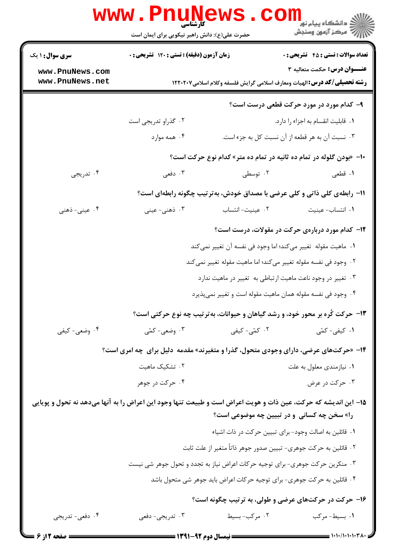|                                          | www.PnuNews                                                                                                    |                                                                                 | د دانشگاه پيام نو <mark>ر<br/>ا∛ مرکز آزمون وسنجش</mark><br>ا                |  |
|------------------------------------------|----------------------------------------------------------------------------------------------------------------|---------------------------------------------------------------------------------|------------------------------------------------------------------------------|--|
|                                          | حضرت علی(ع): دانش راهبر نیکویی برای ایمان است                                                                  |                                                                                 |                                                                              |  |
| <b>سری سوال : ۱ یک</b>                   | زمان آزمون (دقیقه) : تستی : ۱۲۰ تشریحی : ۰                                                                     |                                                                                 | <b>تعداد سوالات : تستي : 45 گشريحي : 0</b>                                   |  |
| www.PnuNews.com                          |                                                                                                                |                                                                                 | <b>عنـــوان درس:</b> حکمت متعالیه ۳                                          |  |
| www.PnuNews.net                          |                                                                                                                | <b>رشته تحصیلی/کد درس:</b> الهیات ومعارف اسلامی گرایش فلسفه وکلام اسلامی۱۲۲۰۲۰۷ |                                                                              |  |
| ۹- کدام مورد در مورد حرکت قطعی درست است؟ |                                                                                                                |                                                                                 |                                                                              |  |
|                                          | ۰۲ گذراو تدریجی است                                                                                            |                                                                                 | ۰۱ قابلیت انقسام به اجزاء را دارد.                                           |  |
|                                          | ۰۴ همه موارد                                                                                                   |                                                                                 | ۰۳ نسبت آن به هر قطعه از آن نسبت کل به جزء است.                              |  |
|                                          |                                                                                                                |                                                                                 | ۱۰− «بودن گلوله در تمام ده ثانیه در تمام ده متر» کدام نوع حرکت است؟          |  |
| ۰۴ تدریجی                                | ۰۳ دفعی                                                                                                        | ۰۲ توسطی                                                                        | ۰۱ قطعی                                                                      |  |
|                                          |                                                                                                                |                                                                                 | 11- رابطهی کلی ذاتی و کلی عرضی با مصداق خودش، بهترتیب چگونه رابطهای است؟     |  |
| ۰۴ عینی- ذهنی                            | ۰۳ ذهنی- عینی                                                                                                  | ٢. عينيت-انتساب                                                                 | ٠١. انتساب- عينيت                                                            |  |
|                                          |                                                                                                                |                                                                                 | ۱۲- کدام مورد دربارهی حرکت در مقولات، درست است؟                              |  |
|                                          |                                                                                                                |                                                                                 | ١.  ماهيت مقوله  تغيير مي كند؛ اما وجود في نفسه آن تغيير نمي كند             |  |
|                                          |                                                                                                                |                                                                                 | ۰۲ وجود فی نفسه مقوله تغییر میکند؛ اما ماهیت مقوله تغییر نمیکند              |  |
|                                          |                                                                                                                |                                                                                 | ۰۳ تغییر در وجود ناعت ماهیت ارتباطی به تغییر در ماهیت ندارد                  |  |
|                                          |                                                                                                                |                                                                                 | ۰۴ وجود فی نفسه مقوله همان ماهیت مقوله است و تغییر نمیپذیرد                  |  |
|                                          |                                                                                                                |                                                                                 | ۱۳- حرکت کُره بر محور خود، و رشد گیاهان و حیوانات، بهترتیب چه نوع حرکتی است؟ |  |
| ۰۴ وضعي- کيفي                            | ۰۳ وضعی- کمّی                                                                                                  | ۰۲ کمّی- کیفی                                                                   | ۰۱ کیفی- کمّی                                                                |  |
|                                          | ۱۴- «حرکتهای عرضی، دارای وجودی متحول، گذرا و متغیرند» مقدمه ً دلیل برای چه امری است؟                           |                                                                                 |                                                                              |  |
|                                          | ۰۲ تشکیک ماهیت                                                                                                 |                                                                                 | ۰۱ نیازمندی معلول به علت                                                     |  |
|                                          | ۰۴ حرکت در جوهر                                                                                                |                                                                                 | ۰۳ حرکت در عرض                                                               |  |
|                                          | 1۵– این اندیشه که حرکت، عین ذات و هویت اعراض است و طبیعت تنها وجود این اعراض را به آنها میدهد نه تحول و پویایی |                                                                                 |                                                                              |  |
|                                          |                                                                                                                |                                                                                 | را» سخن چه کسانی و در تبیین چه موضوعی است؟                                   |  |
|                                          |                                                                                                                |                                                                                 | ٠١ قائلين به اصالت وجود- براي تبيين حركت در ذات اشياء                        |  |
|                                          |                                                                                                                |                                                                                 | ۰۲ قائلین به حرکت جوهری- تبیین صدور جوهر ذاتاً متغیر از علت ثابت             |  |
|                                          | ۰۳ منکرین حرکت جوهری- برای توجیه حرکات اعراض نیاز به تجدد و تحول جوهر شی نیست                                  |                                                                                 |                                                                              |  |
|                                          | ۰۴ قائلین به حرکت جوهری- برای توجیه حرکات اعراض باید جوهر شی متحول باشد                                        |                                                                                 |                                                                              |  |
|                                          |                                                                                                                |                                                                                 | ۱۶- حرکت در حرکتهای عرضی و طولی، به ترتیب چگونه است؟                         |  |
| ۰۴ دفعي- تدريجي                          | ۰۳ تدریجي- دفعي                                                                                                | ۰۲ مرکب- بسیط                                                                   | ۰۱ بسیط-مرکب                                                                 |  |
| <b>= صفحه 2از 6 <del>--</del></b>        |                                                                                                                |                                                                                 |                                                                              |  |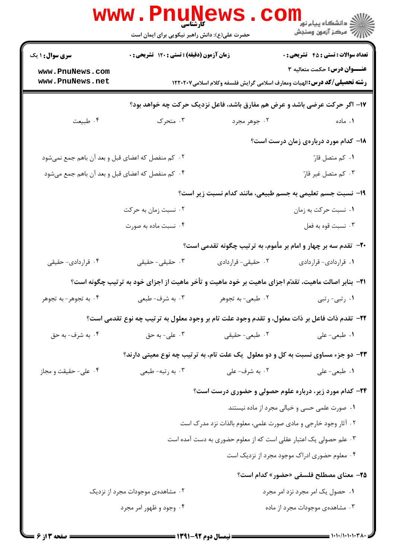|                                                                                                             | <b>WWW.FNU</b><br><b>کارشناسی</b><br>حضرت علی(ع): دانش راهبر نیکویی برای ایمان است |                    | ران دانشگاه پیام نور<br>این مرکز آزمهن وسنجش                                                                    |
|-------------------------------------------------------------------------------------------------------------|------------------------------------------------------------------------------------|--------------------|-----------------------------------------------------------------------------------------------------------------|
| <b>سری سوال : ۱ یک</b>                                                                                      | زمان آزمون (دقیقه) : تستی : ۱۲۰ تشریحی : ۰                                         |                    | <b>تعداد سوالات : تستی : 45 - تشریحی : 0</b>                                                                    |
| www.PnuNews.com<br>www.PnuNews.net                                                                          |                                                                                    |                    | عنـــوان درس: حکمت متعالیه ۳<br><b>رشته تحصیلی/کد درس:</b> الهیات ومعارف اسلامی گرایش فلسفه وکلام اسلامی۱۲۲۰۲۰۷ |
| ۱۷- اگر حرکت عرضی باشد و عرض هم مفارق باشد، فاعل نزدیک حرکت چه خواهد بود؟                                   |                                                                                    |                    |                                                                                                                 |
| ۰۴ طبیعت                                                                                                    | ۰۳ متحرک                                                                           | ۰۲ جوهر مجرد       | ۰۱ ماده                                                                                                         |
|                                                                                                             |                                                                                    |                    | 18- کدام مورد دربارهی زمان درست است؟                                                                            |
| ۰۲ کم منفصل که اعضای قبل و بعد آن باهم جمع نمیشود                                                           |                                                                                    | ٠١ کم متصل قارّ    |                                                                                                                 |
|                                                                                                             | ۰۴ کم منفصل که اعضای قبل و بعد آن باهم جمع میشود                                   |                    | ۰۳ کم متصل غیر قارّ                                                                                             |
|                                                                                                             |                                                                                    |                    | ۱۹- نسبت جسم تعلیمی به جسم طبیعی، مانند کدام نسبت زیر است؟                                                      |
|                                                                                                             | ۰۲ نسبت زمان به حرکت                                                               |                    | ۰۱ نسبت حرکت به زمان                                                                                            |
|                                                                                                             | ۰۴ نسبت ماده به صورت                                                               |                    | ۰۳ نسبت قوه به فعل                                                                                              |
|                                                                                                             |                                                                                    |                    | ۲۰- تقدم سه بر چهار و امام بر مأموم، به ترتیب چگونه تقدمی است؟                                                  |
| ۰۴ قراردادي- حقيقي                                                                                          | ۰۳ حقیقی- حقیقی                                                                    | ۰۲ حقیقی- قراردادی | ٠١ قراردادي- قراردادي                                                                                           |
| <b>۲۱</b> - بنابر اصالت ماهیت، تقدّم اجزای ماهیت بر خود ماهیت و تأخر ماهیت از اجزای خود به ترتیب چگونه است؟ |                                                                                    |                    |                                                                                                                 |
| ۰۴ به تجوهر-به تجوهر                                                                                        | ۰۳ به شرف- طبعي                                                                    | ۰۲ طبعی- به تجوهر  | ۰۱ رتبی-رتبی                                                                                                    |
|                                                                                                             |                                                                                    |                    | ٢٢- تقدم ذات فاعل بر ذات معلول، و تقدم وجود علت تام بر وجود معلول به ترتيب چه نوع تقدمي است؟                    |
| ۴. به شرف- به حق                                                                                            | . على- به حق $\cdot$                                                               | ۰۲ طبعی- حقیقی     | ۰۱ طبعی-علی                                                                                                     |
|                                                                                                             |                                                                                    |                    | <b>۲۳</b> - دو جزء مساوی نسبت به کل و دو معلول ً یک علت تام، به ترتیب چه نوع معیتی دارند؟                       |
| ۰۴ علی- حقیقت و مجاز                                                                                        | ۰۳ به رتبه- طبعي                                                                   | ۰۲ به شرف- علي     | ۰۱ طبعی- علی                                                                                                    |
|                                                                                                             |                                                                                    |                    | ۲۴- کدام مورد زیر، درباره علوم حصولی و حضوری درست است؟                                                          |
|                                                                                                             |                                                                                    |                    | ۰۱ صورت علمی حسی و خیالی مجرد از ماده نیستند                                                                    |
|                                                                                                             |                                                                                    |                    | ۰۲ آثار وجود خارجی و مادی صورت علمی، معلوم بالذات نزد مدرک است                                                  |
|                                                                                                             |                                                                                    |                    | ۰۳ علم حصولی یک اعتبار عقلی است که از معلوم حضوری به دست آمده است                                               |
|                                                                                                             |                                                                                    |                    | ۰۴ معلوم حضوری ادراک موجود مجرد از نزدیک است                                                                    |
|                                                                                                             |                                                                                    |                    | <b>۳۵</b> - معنای مصطلح فلسفی «حضور» کدام است؟                                                                  |
|                                                                                                             | ۰۲ مشاهدهی موجودات مجرد از نزدیک                                                   |                    | ۰۱ حصول یک امر مجرد نزد امر مجرد                                                                                |
|                                                                                                             | ۰۴ وجود و ظهور امر مجرد                                                            |                    | ۰۳ مشاهدهی موجودات مجرد از ماده                                                                                 |
|                                                                                                             |                                                                                    |                    |                                                                                                                 |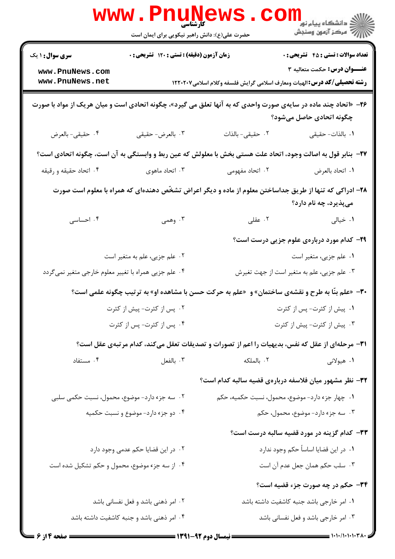|                                                                                                                | <b>www.PnuNews</b><br>کارشناسی<br>حضرت علی(ع): دانش راهبر نیکویی برای ایمان است |                  | ران دانشگاه پيام نور <mark>− ا</mark><br>ار∕* مرکز آزمون وسنجش                                                                   |
|----------------------------------------------------------------------------------------------------------------|---------------------------------------------------------------------------------|------------------|----------------------------------------------------------------------------------------------------------------------------------|
| <b>سری سوال : ۱ یک</b>                                                                                         | زمان آزمون (دقیقه) : تستی : ۱۲۰ تشریحی : ۰                                      |                  | <b>تعداد سوالات : تستي : 45 گشريحي : 0</b>                                                                                       |
| www.PnuNews.com<br>www.PnuNews.net                                                                             |                                                                                 |                  | عنـــوان درس: حکمت متعالیه ۳<br><b>رشته تحصیلی/کد درس:</b> الهیات ومعارف اسلامی گرایش فلسفه وکلام اسلامی۱۲۲۰۲۰۷                  |
| ۲۶− «اتحاد چند ماده در سایهی صورت واحدی که به آنها تعلق می گیرد»، چگونه اتحادی است و میان هریک از مواد با صورت |                                                                                 |                  | چگونه اتحادی حاصل میشود؟                                                                                                         |
| ۰۴ حقيقي- بالعرض                                                                                               | ۰۳ بالعرض- حقيقي                                                                | ٠٢ حقيقى- بالذات | ٠١. بالذات-حقيقى                                                                                                                 |
|                                                                                                                |                                                                                 |                  | ٣٧- بنابر قول به اصالت وجود، اتحاد علت هستي بخش با معلولش كه عين ربط و وابستگي به آن است، چگونه اتحادي است؟                      |
| ۰۴ اتحاد حقیقه و رقیقه                                                                                         | ۰۳ اتحاد ماهوی                                                                  | ۲. اتحاد مفهومی  | ٠١. اتحاد بالعرض                                                                                                                 |
|                                                                                                                |                                                                                 |                  | ۲۸– ادراکی که تنها از طریق جداساختن معلوم از ماده و دیگر اعراض تشخّص دهندهای که همراه با معلوم است صورت<br>میپذیرد، چه نام دارد؟ |
| ۰۴ احساسی                                                                                                      | ۰۳ وهمی                                                                         | ۰۲ عقلی          | ۰۱ خیالی                                                                                                                         |
|                                                                                                                |                                                                                 |                  | <b>۳۹</b> - کدام مورد دربارهی علوم جزیی درست است؟                                                                                |
|                                                                                                                | ٢. علم جزيى، علم به متغير است                                                   |                  | ۰۱ علم جزیی، متغیر است                                                                                                           |
| ۰۴ علم جزیی همراه با تغییر معلوم خارجی متغیر نمی5ردد                                                           |                                                                                 |                  | ۰۳ علم جزیی، علم به متغیر است از جهت تغیرش                                                                                       |
| <b>۳۰</b> - «علم بنّا به طرح و نقشهی ساختمان» و «علم به حرکت حسن با مشاهده او» به ترتیب چگونه علمی است؟        |                                                                                 |                  |                                                                                                                                  |
|                                                                                                                | ۰۲ پس از کثرت- پیش از کثرت                                                      |                  | ۰۱ پیش از کثرت- پس از کثرت                                                                                                       |
|                                                                                                                | ۰۴ پس از کثرت- پس از کثرت                                                       |                  | ۰۳ پیش از کثرت- پیش از کثرت                                                                                                      |
|                                                                                                                |                                                                                 |                  | ۳۱– مرحلهای از عقل که نفس، بدیهیات را اعم از تصورات و تصدیقات تعقل میکند، کدام مرتبهی عقل است؟                                   |
| ۰۴ مستفاد                                                                                                      | ۰۳ بالفعل                                                                       | ٠٢ بالملكه       | ۱. هیولانی                                                                                                                       |
|                                                                                                                |                                                                                 |                  | ۳۲– نظر مشهور میان فلاسفه دربارهی قضیه سالبه کدام است؟                                                                           |
| ۰۲ سه جزء دارد- موضوع، محمول، نسبت حکمی سلبی                                                                   |                                                                                 |                  | ۰۱ چهار جزء دارد- موضوع، محمول، نسبت حکمیه، حکم                                                                                  |
|                                                                                                                | ۰۴ دو جزء دارد- موضوع و نسبت حکمیه                                              |                  | ۰۳ سه جزء دارد- موضوع، محمول، حکم                                                                                                |
|                                                                                                                |                                                                                 |                  | ۳۳- کدام گزینه در مورد قضیه سالبه درست است؟                                                                                      |
|                                                                                                                | ۰۲ در این قضایا حکم عدمی وجود دارد                                              |                  | ۰۱ در این قضایا اساساً حکم وجود ندارد                                                                                            |
| ۰۴ از سه جزء موضوع، محمول و حکم تشکیل شده است                                                                  |                                                                                 |                  | ۰۳ سلب حکم همان جعل عدم آن است                                                                                                   |
|                                                                                                                |                                                                                 |                  | ۳۴- حکم در چه صورت جزء قضیه است؟                                                                                                 |
|                                                                                                                | ۰۲ امر ذهنی باشد و فعل نفسانی باشد                                              |                  | ۰۱ امر خارجی باشد جنبه کاشفیت داشته باشد                                                                                         |
|                                                                                                                | ۰۴ امر ذهنی باشد و جنبه کاشفیت داشته باشد                                       |                  | ۰۳ امر خارجی باشد و فعل نفسانی باشد                                                                                              |
|                                                                                                                |                                                                                 |                  |                                                                                                                                  |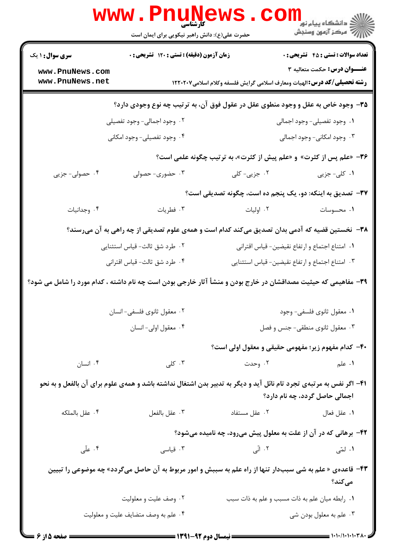|                                                                                                                                                      | www.PnuNews<br>حضرت علی(ع): دانش راهبر نیکویی برای ایمان است                                  |                                                                                                                | ر دانشگاه پيام نور <mark>−</mark><br>ار <i>آهر کز</i> آزمون وسنجش |  |  |
|------------------------------------------------------------------------------------------------------------------------------------------------------|-----------------------------------------------------------------------------------------------|----------------------------------------------------------------------------------------------------------------|-------------------------------------------------------------------|--|--|
| <b>سری سوال : ۱ یک</b>                                                                                                                               | زمان آزمون (دقیقه) : تستی : ۱۲۰ تشریحی : ۰                                                    |                                                                                                                | <b>تعداد سوالات : تستی : 45 - تشریحی : 0</b>                      |  |  |
| www.PnuNews.com                                                                                                                                      |                                                                                               |                                                                                                                | عنـــوان درس: حکمت متعالیه ۳                                      |  |  |
| www.PnuNews.net                                                                                                                                      |                                                                                               | <b>رشته تحصیلی/گد درس:</b> الهیات ومعارف اسلامی گرایش فلسفه وکلام اسلامی۱۲۲۰۲۰۷                                |                                                                   |  |  |
|                                                                                                                                                      |                                                                                               | ۳۵- وجود خاص به عقل و وجود منطوی عقل در عقول فوق آن، به ترتیب چه نوع وجودی دارد؟                               |                                                                   |  |  |
|                                                                                                                                                      | ۰۲ وجود اجمالی- وجود تفصیلی                                                                   |                                                                                                                | ۰۱ وجود تفصیلی- وجود اجمالی                                       |  |  |
|                                                                                                                                                      | ۰۴ وجود تفصیلی- وجود امکانی                                                                   |                                                                                                                | ۰۳ وجود امکانی- وجود اجمالی                                       |  |  |
|                                                                                                                                                      |                                                                                               | ۳۶- «علم پس از کثرت» و «علم پیش از کثرت»، به ترتیب چگونه علمی است؟                                             |                                                                   |  |  |
| ۰۴ حصولی- جزیی                                                                                                                                       | ۰۳ حضوری- حصولی                                                                               | ۰۲ جزیی- کلی                                                                                                   | ۰۱ کلی- جزیی                                                      |  |  |
|                                                                                                                                                      |                                                                                               | ۳۷- تصدیق به اینکه: دو، یک پنجم ده است، چگونه تصدیقی است؟                                                      |                                                                   |  |  |
| ۰۴ وجدانیات                                                                                                                                          | ۰۳ فطریات                                                                                     | ۰۲ اولیات                                                                                                      | ٠١ محسوسات                                                        |  |  |
|                                                                                                                                                      | ۳۸– نخستین قضیه که آدمی بدان تصدیق میکند کدام است و همهی علوم تصدیقی از چه راهی به آن میرسند؟ |                                                                                                                |                                                                   |  |  |
|                                                                                                                                                      | ۰۲ طرد شق ثالث- قیاس استثنایی                                                                 | ٠١. امتناع اجتماع و ارتفاع نقيضين- قياس اقتراني                                                                |                                                                   |  |  |
|                                                                                                                                                      | ۰۴ طرد شق ثالث- قياس اقتراني                                                                  | ۰۳ امتناع اجتماع و ارتفاع نقيضين- قياس استثنايي                                                                |                                                                   |  |  |
|                                                                                                                                                      |                                                                                               | ۳۹– مفاهیمی که حیثیت مصداقشان در خارج بودن و منشأ آثار خارجی بودن است چه نام داشته ، کدام مورد را شامل می شود؟ |                                                                   |  |  |
|                                                                                                                                                      | ۰۲ معقول ثانوي فلسفي- انسان                                                                   |                                                                                                                | ٠١ معقول ثانوي فلسفي- وجود                                        |  |  |
|                                                                                                                                                      | ۰۴ معقول اولي- انسان                                                                          |                                                                                                                | ۰۳ معقول ثانوی منطقی- جنس و فصل                                   |  |  |
|                                                                                                                                                      |                                                                                               | ۴۰– کدام مفهوم زیر؛ مفهومی حقیقی و معقول اولی است؟                                                             |                                                                   |  |  |
| ۰۴ انسان                                                                                                                                             | ۰۳ کلی                                                                                        | ۰۲ وحدت                                                                                                        | ۰۱ علم                                                            |  |  |
| ۴۱– اگر نفس به مرتبهی تجرد تام نائل آید و دیگر به تدبیر بدن اشتغال نداشته باشد و همهی علوم برای آن بالفعل و به نحو<br>اجمالی حاصل گردد، چه نام دارد؟ |                                                                                               |                                                                                                                |                                                                   |  |  |
| ۰۴ عقل بالملكه                                                                                                                                       | ۰۳ عقل بالفعل                                                                                 | ۰۲ عقل مستفاد                                                                                                  | ٠١. عقل فعال                                                      |  |  |
|                                                                                                                                                      |                                                                                               | ۴۲- برهانی که در آن از علت به معلول پیش میرود، چه نامیده میشود؟                                                |                                                                   |  |  |
| ۰۴ علّی                                                                                                                                              | ۰۳ قیاسی                                                                                      | ۲. اتّی                                                                                                        | ۰۱ لمّی                                                           |  |  |
| ۴۳- قاعدهی «علم به شی سببدار تنها از راه علم به سببش و امور مربوط به آن حاصل میگردد» چه موضوعی را تبیین<br>مىكند؟                                    |                                                                                               |                                                                                                                |                                                                   |  |  |
|                                                                                                                                                      | ۰۲ وصف علیت و معلولیت                                                                         | ٠١. رابطه ميان علم به ذات مسبب و علم به ذات سبب                                                                |                                                                   |  |  |
|                                                                                                                                                      | ۰۴ علم به وصف متضايف عليت و معلوليت                                                           |                                                                                                                | ۰۳ علم به معلول بودن شي                                           |  |  |